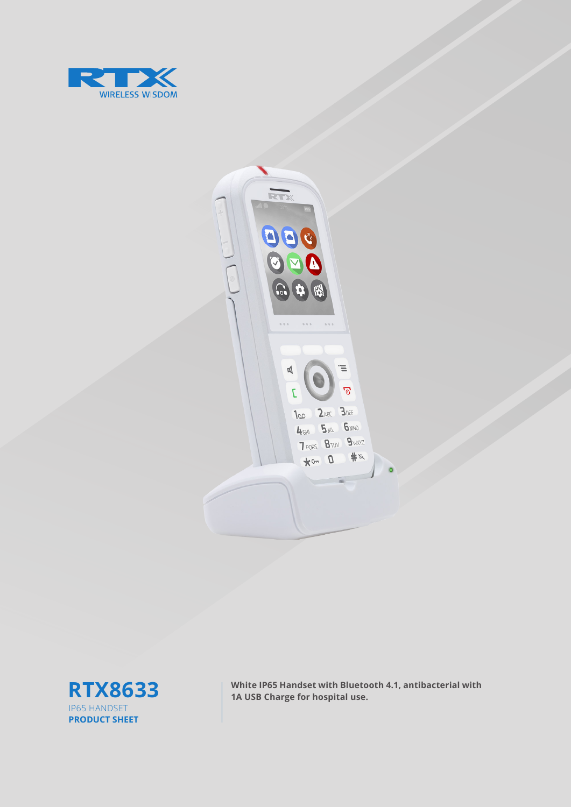





**RTX8633** White IP65 Handset with Bluetooth 4.1, antibacterial with 1A USB Charge for hospital use.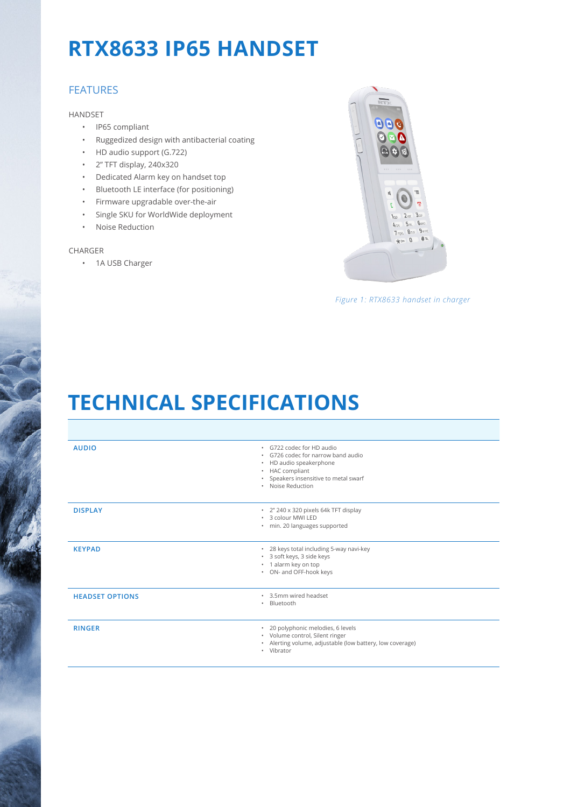# **RTX8633 IP65 HANDSET**

### FEATURES

HANDSET

- IP65 compliant
- Ruggedized design with antibacterial coating
- HD audio support (G.722)
- 2'' TFT display, 240x320
- Dedicated Alarm key on handset top
- Bluetooth LE interface (for positioning)
- Firmware upgradable over-the-air
- Single SKU for WorldWide deployment
- Noise Reduction

#### CHARGER

• 1A USB Charger



*Figure 1: RTX8633 handset in charger*

## **TECHNICAL SPECIFICATIONS**

| <b>AUDIO</b>           | · G722 codec for HD audio<br>. G726 codec for narrow band audio<br>• HD audio speakerphone<br>• HAC compliant<br>• Speakers insensitive to metal swarf<br>· Noise Reduction |
|------------------------|-----------------------------------------------------------------------------------------------------------------------------------------------------------------------------|
| <b>DISPLAY</b>         | · 2" 240 x 320 pixels 64k TFT display<br>* 3 colour MWI LED<br>· min. 20 languages supported                                                                                |
| <b>KEYPAD</b>          | * 28 keys total including 5-way navi-key<br>* 3 soft keys, 3 side keys<br>· 1 alarm key on top<br>• ON- and OFF-hook keys                                                   |
| <b>HEADSET OPTIONS</b> | . 3.5mm wired headset<br>Bluetooth<br>$\bullet$                                                                                                                             |
| <b>RINGER</b>          | · 20 polyphonic melodies, 6 levels<br>· Volume control, Silent ringer<br>· Alerting volume, adjustable (low battery, low coverage)<br>· Vibrator                            |